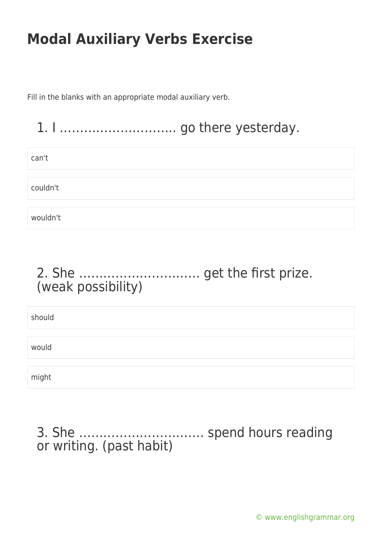Fill in the blanks with an appropriate modal auxiliary verb.

### 1. I ……………………….. go there yesterday.

can't

couldn't

wouldn't

### 2. She ………………………… get the first prize. (weak possibility)

should would might

3. She …………………………. spend hours reading or writing. (past habit)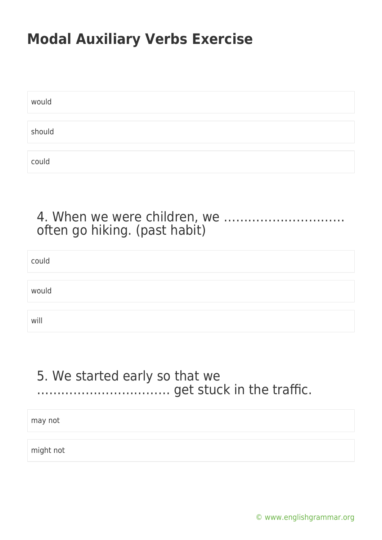| would  |  |  |  |
|--------|--|--|--|
|        |  |  |  |
| should |  |  |  |
|        |  |  |  |
| could  |  |  |  |

#### 4. When we were children, we ………………………… often go hiking. (past habit)

| could |  |  |  |
|-------|--|--|--|
|       |  |  |  |
| would |  |  |  |
|       |  |  |  |
| will  |  |  |  |

#### 5. We started early so that we …………………………… get stuck in the traffic.

may not

might not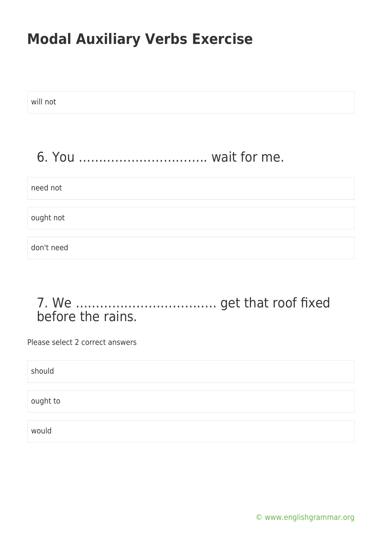| will not   |
|------------|
|            |
| need not   |
| ought not  |
| don't need |
|            |

#### 7. We …………………………….. get that roof fixed before the rains.

Please select 2 correct answers

should

ought to

would

[© www.englishgrammar.org](https://www.englishgrammar.org/)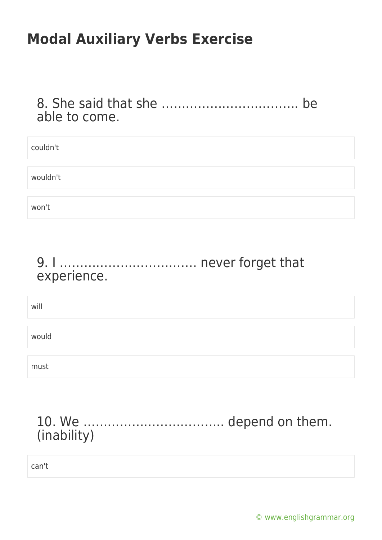8. She said that she ……………………………. be able to come.

| couldn't |  |  |  |
|----------|--|--|--|
|          |  |  |  |
| wouldn't |  |  |  |
|          |  |  |  |
| won't    |  |  |  |

#### 9. I ……………………………. never forget that experience.

will

would

must

### 10. We …………………………….. depend on them. (inability)

can't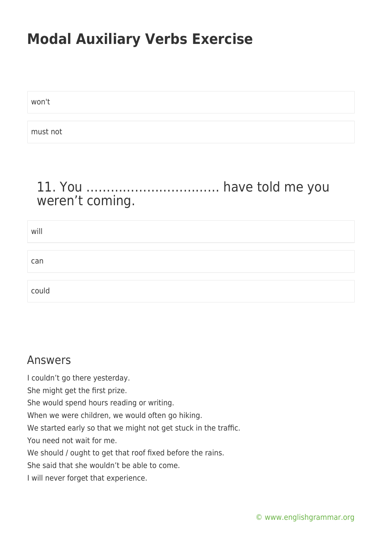won't

must not

### 11. You …………………………… have told me you weren't coming.

| will  |  |  |  |
|-------|--|--|--|
|       |  |  |  |
| can   |  |  |  |
|       |  |  |  |
| could |  |  |  |

#### Answers

I couldn't go there yesterday. She might get the first prize. She would spend hours reading or writing. When we were children, we would often go hiking. We started early so that we might not get stuck in the traffic. You need not wait for me. We should / ought to get that roof fixed before the rains.

She said that she wouldn't be able to come.

I will never forget that experience.